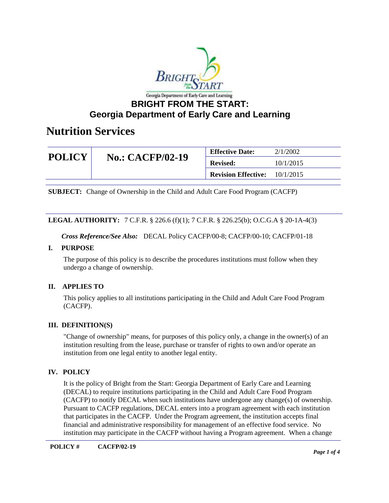

### **Georgia Department of Early Care and Learning**

### **Nutrition Services**

| <b>POLICY</b> | <b>No.: CACFP/02-19</b> | <b>Effective Date:</b>     | 2/1/2002  |
|---------------|-------------------------|----------------------------|-----------|
|               |                         | <b>Revised:</b>            | 10/1/2015 |
|               |                         | <b>Revision Effective:</b> | 10/1/2015 |

**SUBJECT:** Change of Ownership in the Child and Adult Care Food Program (CACFP)

### **LEGAL AUTHORITY:** 7 C.F.R. § 226.6 (f)(1); 7 C.F.R. § 226.25(b); O.C.G.A § 20-1A-4(3)

*Cross Reference/See Also:* DECAL Policy CACFP/00-8; CACFP/00-10; CACFP/01-18

### **I. PURPOSE**

The purpose of this policy is to describe the procedures institutions must follow when they undergo a change of ownership.

### **II. APPLIES TO**

This policy applies to all institutions participating in the Child and Adult Care Food Program (CACFP).

### **III. DEFINITION(S)**

"Change of ownership" means, for purposes of this policy only, a change in the owner(s) of an institution resulting from the lease, purchase or transfer of rights to own and/or operate an institution from one legal entity to another legal entity.

### **IV. POLICY**

It is the policy of Bright from the Start: Georgia Department of Early Care and Learning (DECAL) to require institutions participating in the Child and Adult Care Food Program (CACFP) to notify DECAL when such institutions have undergone any change(s) of ownership. Pursuant to CACFP regulations, DECAL enters into a program agreement with each institution that participates in the CACFP. Under the Program agreement, the institution accepts final financial and administrative responsibility for management of an effective food service. No institution may participate in the CACFP without having a Program agreement. When a change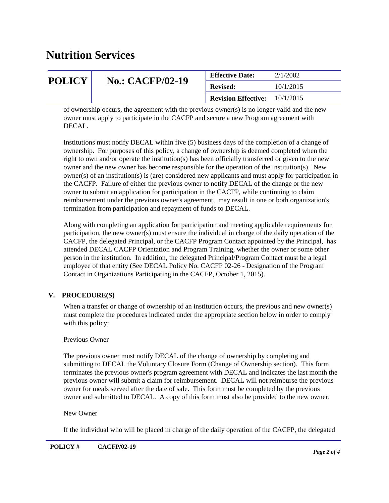## **Nutrition Services**

| <b>POLICY</b> | <b>No.: CACFP/02-19</b> | <b>Effective Date:</b>                 | 2/1/2002  |
|---------------|-------------------------|----------------------------------------|-----------|
|               |                         | <b>Revised:</b>                        | 10/1/2015 |
|               |                         | <b>Revision Effective:</b> $10/1/2015$ |           |
|               |                         |                                        |           |

of ownership occurs, the agreement with the previous owner(s) is no longer valid and the new owner must apply to participate in the CACFP and secure a new Program agreement with DECAL.

Institutions must notify DECAL within five (5) business days of the completion of a change of ownership. For purposes of this policy, a change of ownership is deemed completed when the right to own and/or operate the institution(s) has been officially transferred or given to the new owner and the new owner has become responsible for the operation of the institution(s). New owner(s) of an institution(s) is (are) considered new applicants and must apply for participation in the CACFP. Failure of either the previous owner to notify DECAL of the change or the new owner to submit an application for participation in the CACFP, while continuing to claim reimbursement under the previous owner's agreement, may result in one or both organization's termination from participation and repayment of funds to DECAL.

Along with completing an application for participation and meeting applicable requirements for participation, the new owner(s) must ensure the individual in charge of the daily operation of the CACFP, the delegated Principal, or the CACFP Program Contact appointed by the Principal, has attended DECAL CACFP Orientation and Program Training, whether the owner or some other person in the institution. In addition, the delegated Principal/Program Contact must be a legal employee of that entity (See DECAL Policy No. CACFP 02-26 - Designation of the Program Contact in Organizations Participating in the CACFP, October 1, 2015).

### **V. PROCEDURE(S)**

When a transfer or change of ownership of an institution occurs, the previous and new owner(s) must complete the procedures indicated under the appropriate section below in order to comply with this policy:

### Previous Owner

The previous owner must notify DECAL of the change of ownership by completing and submitting to DECAL the Voluntary Closure Form (Change of Ownership section). This form terminates the previous owner's program agreement with DECAL and indicates the last month the previous owner will submit a claim for reimbursement. DECAL will not reimburse the previous owner for meals served after the date of sale. This form must be completed by the previous owner and submitted to DECAL. A copy of this form must also be provided to the new owner.

### New Owner

If the individual who will be placed in charge of the daily operation of the CACFP, the delegated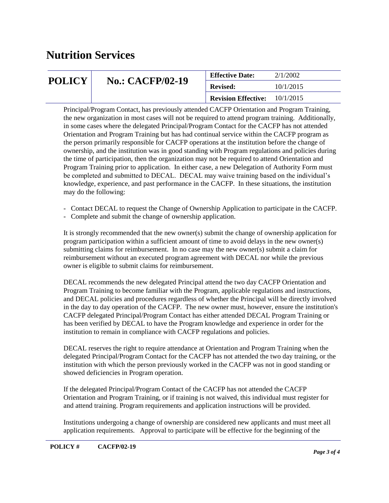## **Nutrition Services**

| <b>POLICY</b> | <b>No.: CACFP/02-19</b> | <b>Effective Date:</b>     | 2/1/2002  |
|---------------|-------------------------|----------------------------|-----------|
|               |                         | <b>Revised:</b>            | 10/1/2015 |
|               |                         | <b>Revision Effective:</b> | 10/1/2015 |

Principal/Program Contact, has previously attended CACFP Orientation and Program Training, the new organization in most cases will not be required to attend program training. Additionally, in some cases where the delegated Principal/Program Contact for the CACFP has not attended Orientation and Program Training but has had continual service within the CACFP program as the person primarily responsible for CACFP operations at the institution before the change of ownership, and the institution was in good standing with Program regulations and policies during the time of participation, then the organization may not be required to attend Orientation and Program Training prior to application. In either case, a new Delegation of Authority Form must be completed and submitted to DECAL. DECAL may waive training based on the individual's knowledge, experience, and past performance in the CACFP. In these situations, the institution may do the following:

- Contact DECAL to request the Change of Ownership Application to participate in the CACFP.
- Complete and submit the change of ownership application.

It is strongly recommended that the new owner(s) submit the change of ownership application for program participation within a sufficient amount of time to avoid delays in the new owner(s) submitting claims for reimbursement. In no case may the new owner(s) submit a claim for reimbursement without an executed program agreement with DECAL nor while the previous owner is eligible to submit claims for reimbursement.

DECAL recommends the new delegated Principal attend the two day CACFP Orientation and Program Training to become familiar with the Program, applicable regulations and instructions, and DECAL policies and procedures regardless of whether the Principal will be directly involved in the day to day operation of the CACFP. The new owner must, however, ensure the institution's CACFP delegated Principal/Program Contact has either attended DECAL Program Training or has been verified by DECAL to have the Program knowledge and experience in order for the institution to remain in compliance with CACFP regulations and policies.

DECAL reserves the right to require attendance at Orientation and Program Training when the delegated Principal/Program Contact for the CACFP has not attended the two day training, or the institution with which the person previously worked in the CACFP was not in good standing or showed deficiencies in Program operation.

If the delegated Principal/Program Contact of the CACFP has not attended the CACFP Orientation and Program Training, or if training is not waived, this individual must register for and attend training. Program requirements and application instructions will be provided.

Institutions undergoing a change of ownership are considered new applicants and must meet all application requirements. Approval to participate will be effective for the beginning of the